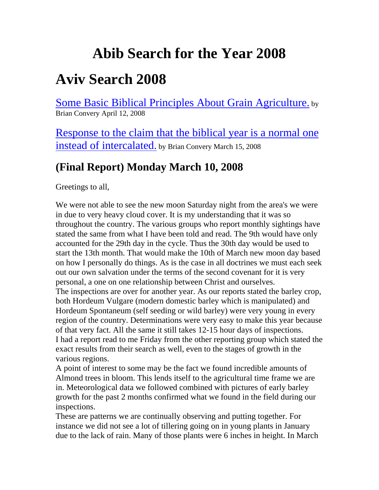# **Abib Search for the Year 2008**

## **Aviv Search 2008**

[Some Basic Biblical Principles About Grain Agriculture.](http://abibofgod.com/resources/Some$2520Basic$2520Biblical$2520Principles$2520About$2520Grain$2520Agriculture.pdf) by Brian Convery April 12, 2008

[Response to the claim that the biblical year is a normal one](http://abibofgod.com/resources/Abib$2520answer.pdf)  [instead of intercalated.](http://abibofgod.com/resources/Abib$2520answer.pdf) by Brian Convery March 15, 2008

### **(Final Report) Monday March 10, 2008**

Greetings to all,

We were not able to see the new moon Saturday night from the area's we were in due to very heavy cloud cover. It is my understanding that it was so throughout the country. The various groups who report monthly sightings have stated the same from what I have been told and read. The 9th would have only accounted for the 29th day in the cycle. Thus the 30th day would be used to start the 13th month. That would make the 10th of March new moon day based on how I personally do things. As is the case in all doctrines we must each seek out our own salvation under the terms of the second covenant for it is very personal, a one on one relationship between Christ and ourselves.

The inspections are over for another year. As our reports stated the barley crop, both Hordeum Vulgare (modern domestic barley which is manipulated) and Hordeum Spontaneum (self seeding or wild barley) were very young in every region of the country. Determinations were very easy to make this year because of that very fact. All the same it still takes 12-15 hour days of inspections. I had a report read to me Friday from the other reporting group which stated the exact results from their search as well, even to the stages of growth in the various regions.

A point of interest to some may be the fact we found incredible amounts of Almond trees in bloom. This lends itself to the agricultural time frame we are in. Meteorological data we followed combined with pictures of early barley growth for the past 2 months confirmed what we found in the field during our inspections.

These are patterns we are continually observing and putting together. For instance we did not see a lot of tillering going on in young plants in January due to the lack of rain. Many of those plants were 6 inches in height. In March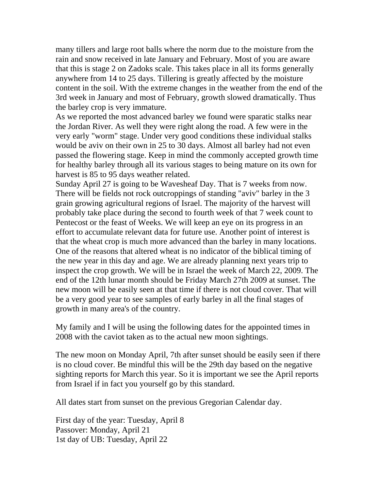many tillers and large root balls where the norm due to the moisture from the rain and snow received in late January and February. Most of you are aware that this is stage 2 on Zadoks scale. This takes place in all its forms generally anywhere from 14 to 25 days. Tillering is greatly affected by the moisture content in the soil. With the extreme changes in the weather from the end of the 3rd week in January and most of February, growth slowed dramatically. Thus the barley crop is very immature.

As we reported the most advanced barley we found were sparatic stalks near the Jordan River. As well they were right along the road. A few were in the very early "worm" stage. Under very good conditions these individual stalks would be aviv on their own in 25 to 30 days. Almost all barley had not even passed the flowering stage. Keep in mind the commonly accepted growth time for healthy barley through all its various stages to being mature on its own for harvest is 85 to 95 days weather related.

Sunday April 27 is going to be Wavesheaf Day. That is 7 weeks from now. There will be fields not rock outcroppings of standing "aviv" barley in the 3 grain growing agricultural regions of Israel. The majority of the harvest will probably take place during the second to fourth week of that 7 week count to Pentecost or the feast of Weeks. We will keep an eye on its progress in an effort to accumulate relevant data for future use. Another point of interest is that the wheat crop is much more advanced than the barley in many locations. One of the reasons that altered wheat is no indicator of the biblical timing of the new year in this day and age. We are already planning next years trip to inspect the crop growth. We will be in Israel the week of March 22, 2009. The end of the 12th lunar month should be Friday March 27th 2009 at sunset. The new moon will be easily seen at that time if there is not cloud cover. That will be a very good year to see samples of early barley in all the final stages of growth in many area's of the country.

My family and I will be using the following dates for the appointed times in 2008 with the caviot taken as to the actual new moon sightings.

The new moon on Monday April, 7th after sunset should be easily seen if there is no cloud cover. Be mindful this will be the 29th day based on the negative sighting reports for March this year. So it is important we see the April reports from Israel if in fact you yourself go by this standard.

All dates start from sunset on the previous Gregorian Calendar day.

First day of the year: Tuesday, April 8 Passover: Monday, April 21 1st day of UB: Tuesday, April 22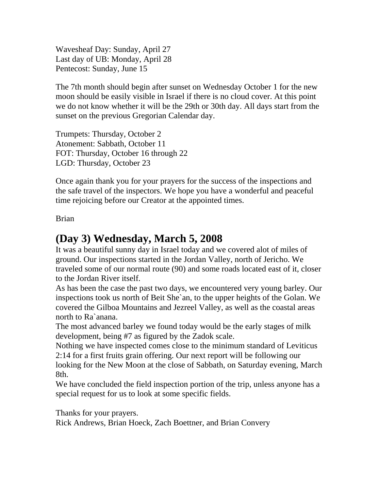Wavesheaf Day: Sunday, April 27 Last day of UB: Monday, April 28 Pentecost: Sunday, June 15

The 7th month should begin after sunset on Wednesday October 1 for the new moon should be easily visible in Israel if there is no cloud cover. At this point we do not know whether it will be the 29th or 30th day. All days start from the sunset on the previous Gregorian Calendar day.

Trumpets: Thursday, October 2 Atonement: Sabbath, October 11 FOT: Thursday, October 16 through 22 LGD: Thursday, October 23

Once again thank you for your prayers for the success of the inspections and the safe travel of the inspectors. We hope you have a wonderful and peaceful time rejoicing before our Creator at the appointed times.

Brian

#### **(Day 3) Wednesday, March 5, 2008**

It was a beautiful sunny day in Israel today and we covered alot of miles of ground. Our inspections started in the Jordan Valley, north of Jericho. We traveled some of our normal route (90) and some roads located east of it, closer to the Jordan River itself.

As has been the case the past two days, we encountered very young barley. Our inspections took us north of Beit She`an, to the upper heights of the Golan. We covered the Gilboa Mountains and Jezreel Valley, as well as the coastal areas north to Ra`anana.

The most advanced barley we found today would be the early stages of milk development, being #7 as figured by the Zadok scale.

Nothing we have inspected comes close to the minimum standard of Leviticus 2:14 for a first fruits grain offering. Our next report will be following our looking for the New Moon at the close of Sabbath, on Saturday evening, March 8th.

We have concluded the field inspection portion of the trip, unless anyone has a special request for us to look at some specific fields.

Thanks for your prayers.

Rick Andrews, Brian Hoeck, Zach Boettner, and Brian Convery